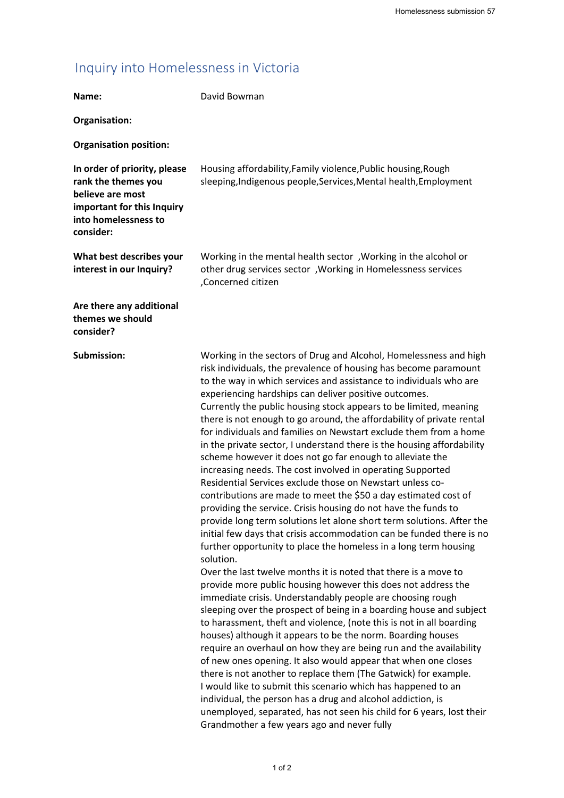## Inquiry into Homelessness in Victoria

|                                                                                                                                            | Homelessness submission 57                                                                                                                                                                                                                                                                                                                                                                                                                                                                                                                                                                                                                                                                                                                                                                                                                                                                                                                                                                                                                                                                                                                                                                                                                                                                                                                                                                                                                                                                                                                                                                                                                                                                                                                                                                                                                                                                                                                                                                                                    |
|--------------------------------------------------------------------------------------------------------------------------------------------|-------------------------------------------------------------------------------------------------------------------------------------------------------------------------------------------------------------------------------------------------------------------------------------------------------------------------------------------------------------------------------------------------------------------------------------------------------------------------------------------------------------------------------------------------------------------------------------------------------------------------------------------------------------------------------------------------------------------------------------------------------------------------------------------------------------------------------------------------------------------------------------------------------------------------------------------------------------------------------------------------------------------------------------------------------------------------------------------------------------------------------------------------------------------------------------------------------------------------------------------------------------------------------------------------------------------------------------------------------------------------------------------------------------------------------------------------------------------------------------------------------------------------------------------------------------------------------------------------------------------------------------------------------------------------------------------------------------------------------------------------------------------------------------------------------------------------------------------------------------------------------------------------------------------------------------------------------------------------------------------------------------------------------|
| Inquiry into Homelessness in Victoria                                                                                                      |                                                                                                                                                                                                                                                                                                                                                                                                                                                                                                                                                                                                                                                                                                                                                                                                                                                                                                                                                                                                                                                                                                                                                                                                                                                                                                                                                                                                                                                                                                                                                                                                                                                                                                                                                                                                                                                                                                                                                                                                                               |
| Name:                                                                                                                                      | David Bowman                                                                                                                                                                                                                                                                                                                                                                                                                                                                                                                                                                                                                                                                                                                                                                                                                                                                                                                                                                                                                                                                                                                                                                                                                                                                                                                                                                                                                                                                                                                                                                                                                                                                                                                                                                                                                                                                                                                                                                                                                  |
|                                                                                                                                            |                                                                                                                                                                                                                                                                                                                                                                                                                                                                                                                                                                                                                                                                                                                                                                                                                                                                                                                                                                                                                                                                                                                                                                                                                                                                                                                                                                                                                                                                                                                                                                                                                                                                                                                                                                                                                                                                                                                                                                                                                               |
| Organisation:                                                                                                                              |                                                                                                                                                                                                                                                                                                                                                                                                                                                                                                                                                                                                                                                                                                                                                                                                                                                                                                                                                                                                                                                                                                                                                                                                                                                                                                                                                                                                                                                                                                                                                                                                                                                                                                                                                                                                                                                                                                                                                                                                                               |
| <b>Organisation position:</b>                                                                                                              |                                                                                                                                                                                                                                                                                                                                                                                                                                                                                                                                                                                                                                                                                                                                                                                                                                                                                                                                                                                                                                                                                                                                                                                                                                                                                                                                                                                                                                                                                                                                                                                                                                                                                                                                                                                                                                                                                                                                                                                                                               |
| In order of priority, please<br>rank the themes you<br>believe are most<br>important for this Inquiry<br>into homelessness to<br>consider: | Housing affordability, Family violence, Public housing, Rough<br>sleeping, Indigenous people, Services, Mental health, Employment                                                                                                                                                                                                                                                                                                                                                                                                                                                                                                                                                                                                                                                                                                                                                                                                                                                                                                                                                                                                                                                                                                                                                                                                                                                                                                                                                                                                                                                                                                                                                                                                                                                                                                                                                                                                                                                                                             |
| What best describes your<br>interest in our Inquiry?                                                                                       | Working in the mental health sector, Working in the alcohol or<br>other drug services sector , Working in Homelessness services<br>,Concerned citizen                                                                                                                                                                                                                                                                                                                                                                                                                                                                                                                                                                                                                                                                                                                                                                                                                                                                                                                                                                                                                                                                                                                                                                                                                                                                                                                                                                                                                                                                                                                                                                                                                                                                                                                                                                                                                                                                         |
| Are there any additional<br>themes we should<br>consider?                                                                                  |                                                                                                                                                                                                                                                                                                                                                                                                                                                                                                                                                                                                                                                                                                                                                                                                                                                                                                                                                                                                                                                                                                                                                                                                                                                                                                                                                                                                                                                                                                                                                                                                                                                                                                                                                                                                                                                                                                                                                                                                                               |
| Submission:                                                                                                                                | Working in the sectors of Drug and Alcohol, Homelessness and high<br>risk individuals, the prevalence of housing has become paramount<br>to the way in which services and assistance to individuals who are<br>experiencing hardships can deliver positive outcomes.<br>Currently the public housing stock appears to be limited, meaning<br>there is not enough to go around, the affordability of private rental<br>for individuals and families on Newstart exclude them from a home<br>in the private sector, I understand there is the housing affordability<br>scheme however it does not go far enough to alleviate the<br>increasing needs. The cost involved in operating Supported<br>Residential Services exclude those on Newstart unless co-<br>contributions are made to meet the \$50 a day estimated cost of<br>providing the service. Crisis housing do not have the funds to<br>provide long term solutions let alone short term solutions. After the<br>initial few days that crisis accommodation can be funded there is no<br>further opportunity to place the homeless in a long term housing<br>solution.<br>Over the last twelve months it is noted that there is a move to<br>provide more public housing however this does not address the<br>immediate crisis. Understandably people are choosing rough<br>sleeping over the prospect of being in a boarding house and subject<br>to harassment, theft and violence, (note this is not in all boarding<br>houses) although it appears to be the norm. Boarding houses<br>require an overhaul on how they are being run and the availability<br>of new ones opening. It also would appear that when one closes<br>there is not another to replace them (The Gatwick) for example.<br>I would like to submit this scenario which has happened to an<br>individual, the person has a drug and alcohol addiction, is<br>unemployed, separated, has not seen his child for 6 years, lost their<br>Grandmother a few years ago and never fully<br>1 of 2 |